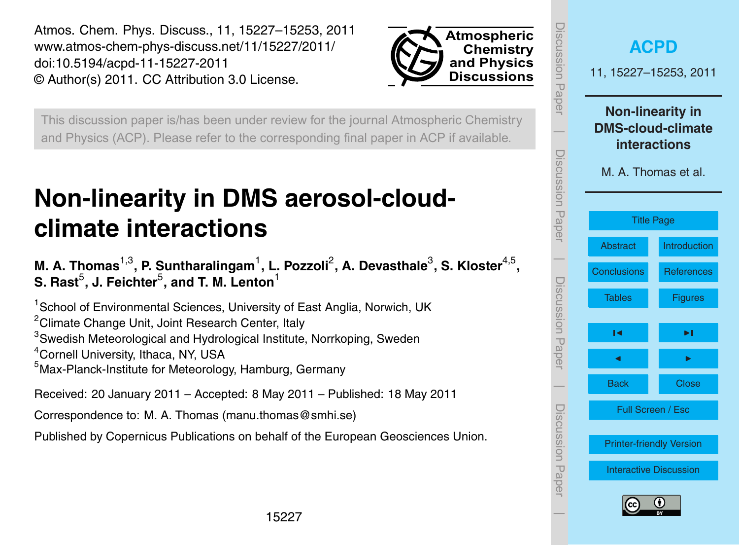<span id="page-0-0"></span>Atmos. Chem. Phys. Discuss., 11, 15227–15253, 2011 www.atmos-chem-phys-discuss.net/11/15227/2011/ doi:10.5194/acpd-11-15227-2011 © Author(s) 2011. CC Attribution 3.0 License.



This discussion paper is/has been under review for the journal Atmospheric Chemistry and Physics (ACP). Please refer to the corresponding final paper in ACP if available.

# **Non-linearity in DMS aerosol-cloudclimate interactions**

# M. A. Thomas<sup>1,3</sup>, P. Suntharalingam<sup>1</sup>, L. Pozzoli<sup>2</sup>, A. Devasthale<sup>3</sup>, S. Kloster<sup>4,5</sup>,  ${\sf S.}$  Rast $^5$ , J. Feichter $^5$ , and T. M. Lenton $^1$

<sup>1</sup> School of Environmental Sciences, University of East Anglia, Norwich, UK <sup>2</sup>Climate Change Unit, Joint Research Center, Italy

<sup>3</sup>Swedish Meteorological and Hydrological Institute, Norrkoping, Sweden

<sup>4</sup>Cornell University, Ithaca, NY, USA

<sup>5</sup>Max-Planck-Institute for Meteorology, Hamburg, Germany

Received: 20 January 2011 – Accepted: 8 May 2011 – Published: 18 May 2011

Correspondence to: M. A. Thomas (manu.thomas@smhi.se)

Published by Copernicus Publications on behalf of the European Geosciences Union.

| <b>ISCUSSION Paper</b>                                                                                                | <b>ACPD</b><br>11, 15227-15253, 2011 |                   |  |  |  |  |  |  |  |
|-----------------------------------------------------------------------------------------------------------------------|--------------------------------------|-------------------|--|--|--|--|--|--|--|
| <b>Non-linearity in</b><br><b>DMS-cloud-climate</b><br><b>interactions</b><br>Discussion Paper<br>M. A. Thomas et al. |                                      |                   |  |  |  |  |  |  |  |
|                                                                                                                       | <b>Title Page</b>                    |                   |  |  |  |  |  |  |  |
|                                                                                                                       | <b>Abstract</b>                      | Introduction      |  |  |  |  |  |  |  |
|                                                                                                                       | <b>Conclusions</b>                   | <b>References</b> |  |  |  |  |  |  |  |
| Discussion<br>Paper                                                                                                   | <b>Tables</b>                        | <b>Figures</b>    |  |  |  |  |  |  |  |
|                                                                                                                       | м                                    | ►∣                |  |  |  |  |  |  |  |
|                                                                                                                       | ◀                                    |                   |  |  |  |  |  |  |  |
|                                                                                                                       | <b>Back</b>                          | <b>Close</b>      |  |  |  |  |  |  |  |
| Discussion Haper                                                                                                      | Full Screen / Esc                    |                   |  |  |  |  |  |  |  |
|                                                                                                                       | <b>Printer-friendly Version</b>      |                   |  |  |  |  |  |  |  |
|                                                                                                                       | <b>Interactive Discussion</b>        |                   |  |  |  |  |  |  |  |
|                                                                                                                       | (cc                                  | G)                |  |  |  |  |  |  |  |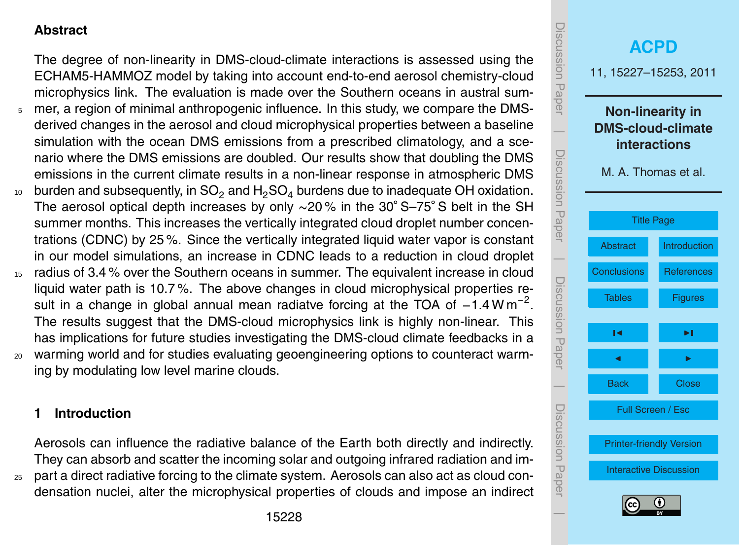#### <span id="page-1-0"></span>**Abstract**

The degree of non-linearity in DMS-cloud-climate interactions is assessed using the ECHAM5-HAMMOZ model by taking into account end-to-end aerosol chemistry-cloud microphysics link. The evaluation is made over the Southern oceans in austral sum-

- <sup>5</sup> mer, a region of minimal anthropogenic influence. In this study, we compare the DMSderived changes in the aerosol and cloud microphysical properties between a baseline simulation with the ocean DMS emissions from a prescribed climatology, and a scenario where the DMS emissions are doubled. Our results show that doubling the DMS emissions in the current climate results in a non-linear response in atmospheric DMS
- $10<sub>10</sub>$  burden and subsequently, in SO<sub>2</sub> and H<sub>2</sub>SO<sub>4</sub> burdens due to inadequate OH oxidation. The aerosol optical depth increases by only ∼20% in the 30° S–75° S belt in the SH summer months. This increases the vertically integrated cloud droplet number concentrations (CDNC) by 25 %. Since the vertically integrated liquid water vapor is constant in our model simulations, an increase in CDNC leads to a reduction in cloud droplet
- <sup>15</sup> radius of 3.4 % over the Southern oceans in summer. The equivalent increase in cloud liquid water path is 10.7 %. The above changes in cloud microphysical properties result in a change in global annual mean radiatve forcing at the TOA of  $-1.4 \text{ W m}^{-2}$ . The results suggest that the DMS-cloud microphysics link is highly non-linear. This has implications for future studies investigating the DMS-cloud climate feedbacks in a
- <sup>20</sup> warming world and for studies evaluating geoengineering options to counteract warming by modulating low level marine clouds.

## **1 Introduction**

Aerosols can influence the radiative balance of the Earth both directly and indirectly. They can absorb and scatter the incoming solar and outgoing infrared radiation and im-

<sup>25</sup> part a direct radiative forcing to the climate system. Aerosols can also act as cloud condensation nuclei, alter the microphysical properties of clouds and impose an indirect

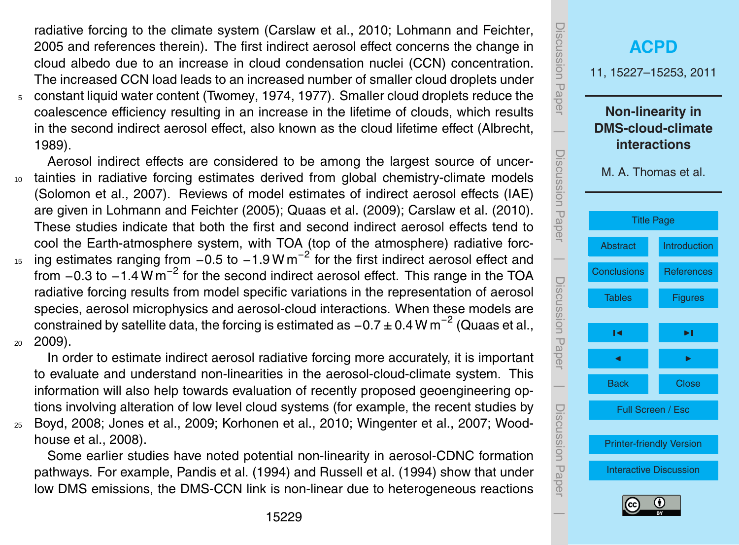<span id="page-2-0"></span>radiative forcing to the climate system [\(Carslaw et al.,](#page-14-0) [2010;](#page-14-0) [Lohmann and Feichter,](#page-15-0) [2005](#page-15-0) and references therein). The first indirect aerosol effect concerns the change in cloud albedo due to an increase in cloud condensation nuclei (CCN) concentration. The increased CCN load leads to an increased number of smaller cloud droplets under <sup>5</sup> constant liquid water content [\(Twomey,](#page-17-0) [1974,](#page-17-0) [1977\)](#page-17-0). Smaller cloud droplets reduce the coalescence efficiency resulting in an increase in the lifetime of clouds, which results in the second indirect aerosol effect, also known as the cloud lifetime effect [\(Albrecht,](#page-14-0) [1989\)](#page-14-0).

Aerosol indirect effects are considered to be among the largest source of uncer-<sup>10</sup> tainties in radiative forcing estimates derived from global chemistry-climate models [\(Solomon et al.,](#page-16-0) [2007\)](#page-16-0). Reviews of model estimates of indirect aerosol effects (IAE) are given in [Lohmann and Feichter](#page-15-0) [\(2005\)](#page-15-0); [Quaas et al.](#page-15-0) [\(2009\)](#page-15-0); [Carslaw et al.](#page-14-0) [\(2010\)](#page-14-0). These studies indicate that both the first and second indirect aerosol effects tend to cool the Earth-atmosphere system, with TOA (top of the atmosphere) radiative forc-<sup>15</sup> ing estimates ranging from  $-0.5$  to  $-1.9$  W m<sup>-2</sup> for the first indirect aerosol effect and from  $-0.3$  to  $-1.4$  W m<sup>-2</sup> for the second indirect aerosol effect. This range in the TOA radiative forcing results from model specific variations in the representation of aerosol species, aerosol microphysics and aerosol-cloud interactions. When these models are constrained by satellite data, the forcing is estimated as  $-0.7\pm0.4$  W m $^{-2}$  [\(Quaas et al.,](#page-15-0)  $2009$ ).

In order to estimate indirect aerosol radiative forcing more accurately, it is important to evaluate and understand non-linearities in the aerosol-cloud-climate system. This information will also help towards evaluation of recently proposed geoengineering options involving alteration of low level cloud systems (for example, the recent studies by

<sup>25</sup> [Boyd,](#page-14-0) [2008;](#page-14-0) [Jones et al.,](#page-14-0) [2009;](#page-14-0) [Korhonen et al.,](#page-14-0) [2010;](#page-14-0) [Wingenter et al.,](#page-17-0) [2007;](#page-17-0) [Wood](#page-17-0)[house et al.,](#page-17-0) [2008\)](#page-17-0).

Some earlier studies have noted potential non-linearity in aerosol-CDNC formation pathways. For example, [Pandis et al.](#page-15-0) [\(1994\)](#page-15-0) and [Russell et al.](#page-16-0) [\(1994\)](#page-16-0) show that under low DMS emissions, the DMS-CCN link is non-linear due to heterogeneous reactions

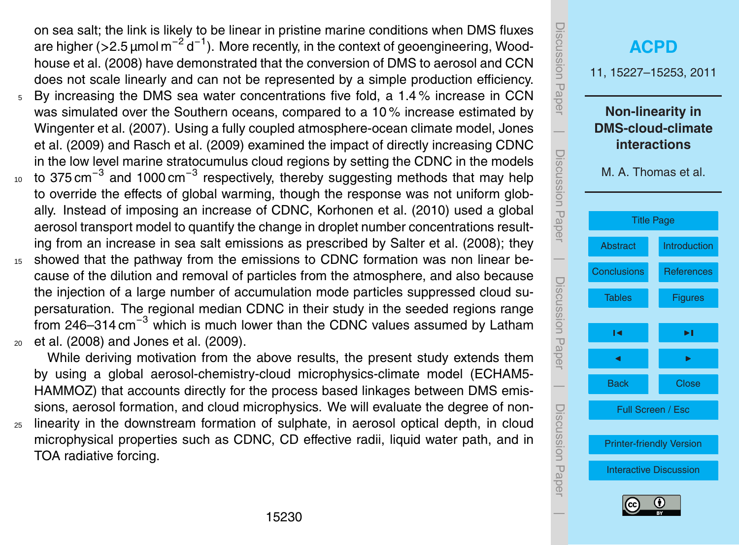<span id="page-3-0"></span>on sea salt; the link is likely to be linear in pristine marine conditions when DMS fluxes [a](#page-17-0)re higher (>2.5 μmol m<sup>−2</sup> d<sup>−1</sup>). More recently, in the context of geoengineering, [Wood](#page-17-0)[house et al.](#page-17-0) [\(2008\)](#page-17-0) have demonstrated that the conversion of DMS to aerosol and CCN does not scale linearly and can not be represented by a simple production efficiency.

- <sup>5</sup> By increasing the DMS sea water concentrations five fold, a 1.4 % increase in CCN was simulated over the Southern oceans, compared to a 10 % increase estimated by [Wingenter et al.](#page-17-0) [\(2007\)](#page-17-0). Using a fully coupled atmosphere-ocean climate model, [Jones](#page-14-0) [et al.](#page-14-0) [\(2009\)](#page-14-0) and [Rasch et al.](#page-16-0) [\(2009\)](#page-16-0) examined the impact of directly increasing CDNC in the low level marine stratocumulus cloud regions by setting the CDNC in the models
- 10 to 375 cm<sup>-3</sup> and 1000 cm<sup>-3</sup> respectively, thereby suggesting methods that may help to override the effects of global warming, though the response was not uniform globally. Instead of imposing an increase of CDNC, [Korhonen et al.](#page-14-0) [\(2010\)](#page-14-0) used a global aerosol transport model to quantify the change in droplet number concentrations resulting from an increase in sea salt emissions as prescribed by [Salter et al.](#page-16-0) [\(2008\)](#page-16-0); they
- <sup>15</sup> showed that the pathway from the emissions to CDNC formation was non linear because of the dilution and removal of particles from the atmosphere, and also because the injection of a large number of accumulation mode particles suppressed cloud supersaturation. The regional median CDNC in their study in the seeded regions range [f](#page-15-0)rom 246–314 cm<sup>-3</sup> which is much lower than the CDNC values assumed by [Latham](#page-15-0) <sup>20</sup> [et al.](#page-15-0) [\(2008\)](#page-15-0) and [Jones et al.](#page-14-0) [\(2009\)](#page-14-0).

While deriving motivation from the above results, the present study extends them by using a global aerosol-chemistry-cloud microphysics-climate model (ECHAM5- HAMMOZ) that accounts directly for the process based linkages between DMS emissions, aerosol formation, and cloud microphysics. We will evaluate the degree of non-

<sup>25</sup> linearity in the downstream formation of sulphate, in aerosol optical depth, in cloud microphysical properties such as CDNC, CD effective radii, liquid water path, and in TOA radiative forcing.

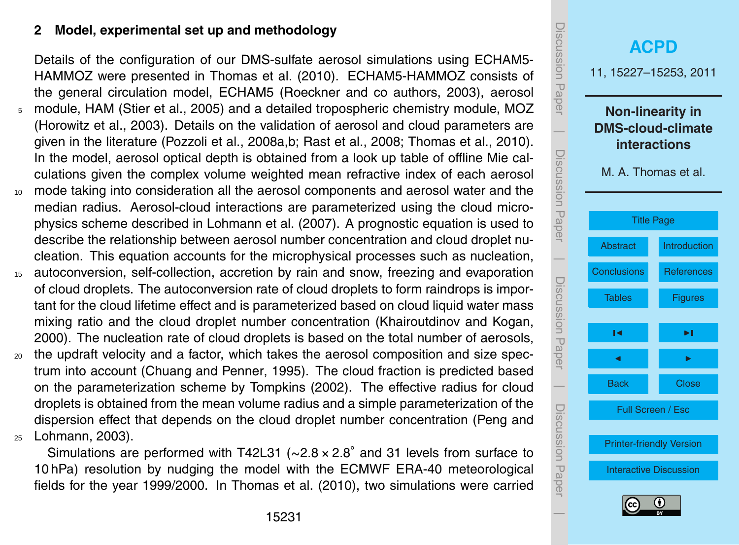#### <span id="page-4-0"></span>**2 Model, experimental set up and methodology**

Details of the configuration of our DMS-sulfate aerosol simulations using ECHAM5- HAMMOZ were presented in [Thomas et al.](#page-16-0) [\(2010\)](#page-16-0). ECHAM5-HAMMOZ consists of the general circulation model, ECHAM5 [\(Roeckner and co authors,](#page-16-0) [2003\)](#page-16-0), aerosol <sup>5</sup> module, HAM [\(Stier et al.,](#page-16-0) [2005\)](#page-16-0) and a detailed tropospheric chemistry module, MOZ [\(Horowitz et al.,](#page-14-0) [2003\)](#page-14-0). Details on the validation of aerosol and cloud parameters are given in the literature [\(Pozzoli et al.,](#page-15-0) [2008a,b;](#page-15-0) [Rast et al.,](#page-16-0) [2008;](#page-16-0) [Thomas et al.,](#page-16-0) [2010\)](#page-16-0). In the model, aerosol optical depth is obtained from a look up table of offline Mie calculations given the complex volume weighted mean refractive index of each aerosol <sup>10</sup> mode taking into consideration all the aerosol components and aerosol water and the median radius. Aerosol-cloud interactions are parameterized using the cloud microphysics scheme described in [Lohmann et al.](#page-15-0) [\(2007\)](#page-15-0). A prognostic equation is used to describe the relationship between aerosol number concentration and cloud droplet nucleation. This equation accounts for the microphysical processes such as nucleation,

- <sup>15</sup> autoconversion, self-collection, accretion by rain and snow, freezing and evaporation of cloud droplets. The autoconversion rate of cloud droplets to form raindrops is important for the cloud lifetime effect and is parameterized based on cloud liquid water mass mixing ratio and the cloud droplet number concentration [\(Khairoutdinov and Kogan,](#page-14-0) [2000\)](#page-14-0). The nucleation rate of cloud droplets is based on the total number of aerosols,
- <sup>20</sup> the updraft velocity and a factor, which takes the aerosol composition and size spectrum into account [\(Chuang and Penner,](#page-14-0) [1995\)](#page-14-0). The cloud fraction is predicted based on the parameterization scheme by [Tompkins](#page-17-0) [\(2002\)](#page-17-0). The effective radius for cloud droplets is obtained from the mean volume radius and a simple parameterization of the [d](#page-15-0)ispersion effect that depends on the cloud droplet number concentration [\(Peng and](#page-15-0) <sup>25</sup> [Lohmann,](#page-15-0) [2003\)](#page-15-0).

Simulations are performed with T42L31 (∼2.8 × 2.8◦ and 31 levels from surface to 10 hPa) resolution by nudging the model with the ECMWF ERA-40 meteorological fields for the year 1999/2000. In [Thomas et al.](#page-16-0) [\(2010\)](#page-16-0), two simulations were carried

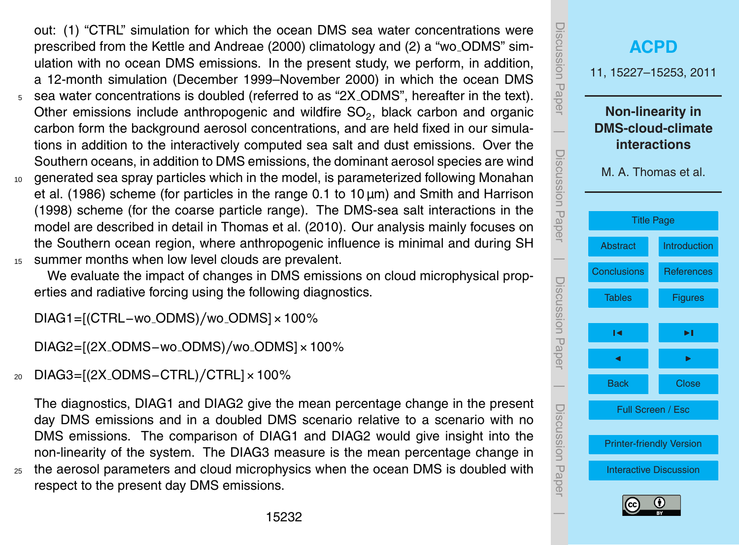<span id="page-5-0"></span>out: (1) "CTRL" simulation for which the ocean DMS sea water concentrations were prescribed from the [Kettle and Andreae](#page-14-0) [\(2000\)](#page-14-0) climatology and (2) a "wo ODMS" simulation with no ocean DMS emissions. In the present study, we perform, in addition, a 12-month simulation (December 1999–November 2000) in which the ocean DMS

- <sup>5</sup> sea water concentrations is doubled (referred to as "2X ODMS", hereafter in the text). Other emissions include anthropogenic and wildfire  $SO_2$ , black carbon and organic carbon form the background aerosol concentrations, and are held fixed in our simulations in addition to the interactively computed sea salt and dust emissions. Over the Southern oceans, in addition to DMS emissions, the dominant aerosol species are wind
- <sup>10</sup> [g](#page-15-0)enerated sea spray particles which in the model, is parameterized following [Monahan](#page-15-0) [et al.](#page-15-0) [\(1986\)](#page-15-0) scheme (for particles in the range  $0.1$  to  $10 \mu m$ ) and [Smith and Harrison](#page-16-0) [\(1998\)](#page-16-0) scheme (for the coarse particle range). The DMS-sea salt interactions in the model are described in detail in [Thomas et al.](#page-16-0) [\(2010\)](#page-16-0). Our analysis mainly focuses on the Southern ocean region, where anthropogenic influence is minimal and during SH <sup>15</sup> summer months when low level clouds are prevalent.

We evaluate the impact of changes in DMS emissions on cloud microphysical properties and radiative forcing using the following diagnostics.

DIAG1=[(CTRL−wo ODMS)*/*wo ODMS]×100%

DIAG2=[(2X ODMS−wo ODMS)*/*wo ODMS]×100%

<sup>20</sup> DIAG3=[(2X ODMS−CTRL)*/*CTRL]×100%

The diagnostics, DIAG1 and DIAG2 give the mean percentage change in the present day DMS emissions and in a doubled DMS scenario relative to a scenario with no DMS emissions. The comparison of DIAG1 and DIAG2 would give insight into the non-linearity of the system. The DIAG3 measure is the mean percentage change in <sup>25</sup> the aerosol parameters and cloud microphysics when the ocean DMS is doubled with respect to the present day DMS emissions.

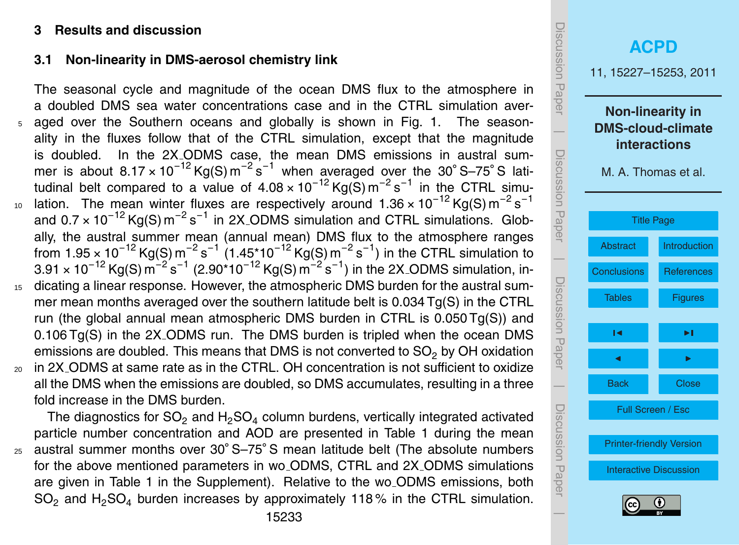#### **3 Results and discussion**

#### **3.1 Non-linearity in DMS-aerosol chemistry link**

The seasonal cycle and magnitude of the ocean DMS flux to the atmosphere in a doubled DMS sea water concentrations case and in the CTRL simulation aver-aged over the Southern oceans and globally is shown in Fig. [1.](#page-23-0) The seasonality in the fluxes follow that of the CTRL simulation, except that the magnitude is doubled. In the 2X ODMS case, the mean DMS emissions in austral summer is about  $8.17 \times 10^{-12}$  Kg(S) m<sup>-2</sup> s<sup>-1</sup> when averaged over the 30° S-75° S latitudinal belt compared to a value of  $4.08 \times 10^{-12}$  Kg(S) m<sup>-2</sup> s<sup>-1</sup> in the CTRL simulation. The mean winter fluxes are respectively around 1.36 × 10<sup>-12</sup> Kg(S) m<sup>-2</sup> s<sup>-1</sup>  $10$ and 0.7 × 10<sup>-12</sup> Kg(S) m<sup>-2</sup> s<sup>-1</sup> in 2X<sub>-</sub>ODMS simulation and CTRL simulations. Globally, the austral summer mean (annual mean) DMS flux to the atmosphere ranges from 1.95 × 10<sup>−12</sup> Kg(S) m<sup>−2</sup> s<sup>−1</sup> (1.45\*10<sup>−12</sup> Kg(S) m<sup>−2</sup> s<sup>−1</sup>) in the CTRL simulation to  $3.91 \times 10^{-12}$  Kg(S) m $^{-2}$  s $^{-1}$  (2.90\*10 $^{-12}$  Kg(S) m $^{-2}$  s $^{-1}$ ) in the 2X<sub>-</sub>ODMS simulation, in-<sup>15</sup> dicating a linear response. However, the atmospheric DMS burden for the austral summer mean months averaged over the southern latitude belt is 0.034 Tg(S) in the CTRL run (the global annual mean atmospheric DMS burden in CTRL is 0.050 Tg(S)) and 0.106 Tg(S) in the 2X ODMS run. The DMS burden is tripled when the ocean DMS emissions are doubled. This means that DMS is not converted to SO<sub>2</sub> by OH oxidation <sup>20</sup> in 2X ODMS at same rate as in the CTRL. OH concentration is not sufficient to oxidize

all the DMS when the emissions are doubled, so DMS accumulates, resulting in a three fold increase in the DMS burden.

The diagnostics for SO<sub>2</sub> and H<sub>2</sub>SO<sub>4</sub> column burdens, vertically integrated activated particle number concentration and AOD are presented in Table [1](#page-18-0) during the mean <sub>25</sub> austral summer months over 30° S-75° S mean latitude belt (The absolute numbers for the above mentioned parameters in wo ODMS, CTRL and 2X ODMS simulations are given in Table 1 in the Supplement). Relative to the wo ODMS emissions, both SO<sub>2</sub> and H<sub>2</sub>SO<sub>4</sub> burden increases by approximately 118% in the CTRL simulation.

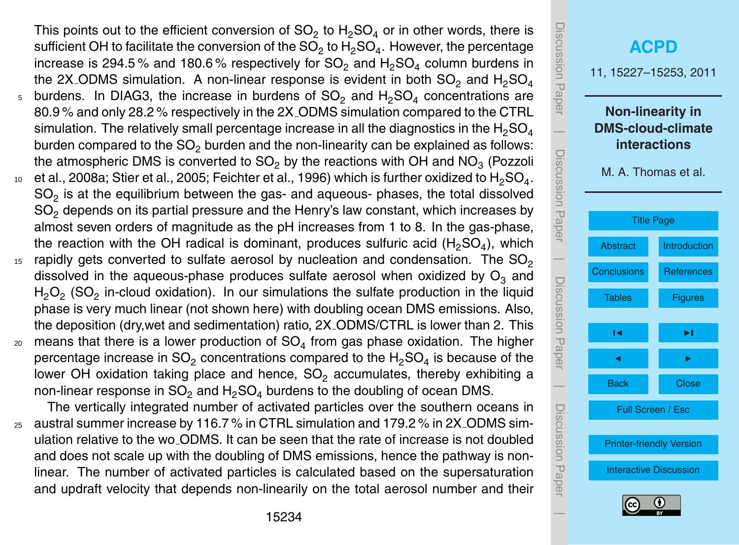<span id="page-7-0"></span>This points out to the efficient conversion of SO<sub>2</sub> to H<sub>2</sub>SO<sub>4</sub> or in other words, there is sufficient OH to facilitate the conversion of the SO<sub>2</sub> to H<sub>2</sub>SO<sub>4</sub>. However, the percentage increase is 294.5% and 180.6% respectively for  $SO_2$  and  $H_2SO_4$  column burdens in the 2X\_ODMS simulation. A non-linear response is evident in both  $SO_2$  and  $H_2SO_4$ 

- $5$  burdens. In DIAG3, the increase in burdens of SO<sub>2</sub> and H<sub>2</sub>SO<sub>4</sub> concentrations are 80.9 % and only 28.2 % respectively in the 2X ODMS simulation compared to the CTRL simulation. The relatively small percentage increase in all the diagnostics in the  $H_2SO_4$ burden compared to the  $SO<sub>2</sub>$  burden and the non-linearity can be explained as follows: [t](#page-15-0)he atmospheric DMS is converted to SO<sub>2</sub> by the reactions with OH and NO<sub>3</sub> [\(Pozzoli](#page-15-0)
- $_{\rm 10}$   $\,$  [et al.,](#page-15-0) [2008a;](#page-15-0) [Stier et al.,](#page-16-0) [2005;](#page-16-0) [Feichter et al.,](#page-14-0) [1996\)](#page-14-0) which is further oxidized to  $\rm H_2SO_4.$  $\mathsf{SO}_2$  is at the equilibrium between the gas- and aqueous- phases, the total dissolved  $SO<sub>2</sub>$  depends on its partial pressure and the Henry's law constant, which increases by almost seven orders of magnitude as the pH increases from 1 to 8. In the gas-phase, the reaction with the OH radical is dominant, produces sulfuric acid (H<sub>2</sub>SO<sub>4</sub>), which
- rapidly gets converted to sulfate aerosol by nucleation and condensation. The  $SO_2$ 15 dissolved in the aqueous-phase produces sulfate aerosol when oxidized by  $O_3$  and  $H_2O_2$  (SO<sub>2</sub> in-cloud oxidation). In our simulations the sulfate production in the liquid phase is very much linear (not shown here) with doubling ocean DMS emissions. Also, the deposition (dry,wet and sedimentation) ratio, 2X ODMS/CTRL is lower than 2. This
- $_{\text{20}}$  means that there is a lower production of SO<sub>4</sub> from gas phase oxidation. The higher percentage increase in SO<sub>2</sub> concentrations compared to the H<sub>2</sub>SO<sub>4</sub> is because of the lower OH oxidation taking place and hence,  $SO<sub>2</sub>$  accumulates, thereby exhibiting a non-linear response in  $SO_2$  and  $H_2SO_4$  burdens to the doubling of ocean DMS.

The vertically integrated number of activated particles over the southern oceans in <sup>25</sup> austral summer increase by 116.7 % in CTRL simulation and 179.2 % in 2X ODMS simulation relative to the wo ODMS. It can be seen that the rate of increase is not doubled and does not scale up with the doubling of DMS emissions, hence the pathway is nonlinear. The number of activated particles is calculated based on the supersaturation and updraft velocity that depends non-linearily on the total aerosol number and their

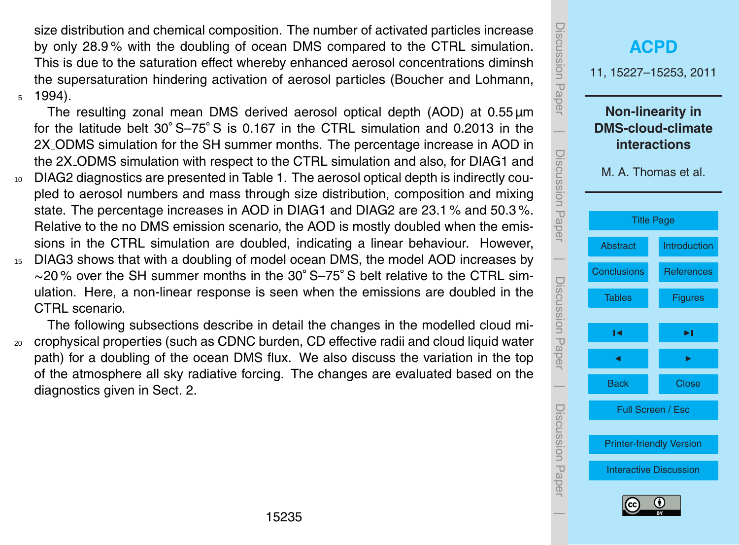<span id="page-8-0"></span>size distribution and chemical composition. The number of activated particles increase by only 28.9 % with the doubling of ocean DMS compared to the CTRL simulation. This is due to the saturation effect whereby enhanced aerosol concentrations diminsh the supersaturation hindering activation of aerosol particles [\(Boucher and Lohmann,](#page-14-0)  $5\quad 1994$ ).

The resulting zonal mean DMS derived aerosol optical depth (AOD) at  $0.55 \,\mathrm{\mu m}$ for the latitude belt 30° S–75° S is 0.167 in the CTRL simulation and 0.2013 in the 2X ODMS simulation for the SH summer months. The percentage increase in AOD in the 2X ODMS simulation with respect to the CTRL simulation and also, for DIAG1 and

- <sup>10</sup> DIAG2 diagnostics are presented in Table [1.](#page-18-0) The aerosol optical depth is indirectly coupled to aerosol numbers and mass through size distribution, composition and mixing state. The percentage increases in AOD in DIAG1 and DIAG2 are 23.1 % and 50.3 %. Relative to the no DMS emission scenario, the AOD is mostly doubled when the emissions in the CTRL simulation are doubled, indicating a linear behaviour. However,
- <sup>15</sup> DIAG3 shows that with a doubling of model ocean DMS, the model AOD increases by ∼20 % over the SH summer months in the 30◦ S–75◦ S belt relative to the CTRL simulation. Here, a non-linear response is seen when the emissions are doubled in the CTRL scenario.

The following subsections describe in detail the changes in the modelled cloud mi-<sup>20</sup> crophysical properties (such as CDNC burden, CD effective radii and cloud liquid water path) for a doubling of the ocean DMS flux. We also discuss the variation in the top of the atmosphere all sky radiative forcing. The changes are evaluated based on the diagnostics given in Sect. 2.

| iscussion Paper         | <b>ACPD</b><br>11, 15227-15253, 2011                                                              |                   |  |  |  |  |  |  |  |  |
|-------------------------|---------------------------------------------------------------------------------------------------|-------------------|--|--|--|--|--|--|--|--|
| Discussion Paper        | <b>Non-linearity in</b><br><b>DMS-cloud-climate</b><br><b>interactions</b><br>M. A. Thomas et al. |                   |  |  |  |  |  |  |  |  |
|                         | <b>Title Page</b>                                                                                 |                   |  |  |  |  |  |  |  |  |
|                         | <b>Abstract</b>                                                                                   | Introduction      |  |  |  |  |  |  |  |  |
|                         | <b>Conclusions</b>                                                                                | <b>References</b> |  |  |  |  |  |  |  |  |
| Discussion Paper        | <b>Tables</b>                                                                                     | <b>Figures</b>    |  |  |  |  |  |  |  |  |
|                         | м                                                                                                 | ►∣                |  |  |  |  |  |  |  |  |
|                         | ◀                                                                                                 |                   |  |  |  |  |  |  |  |  |
|                         | <b>Back</b>                                                                                       | <b>Close</b>      |  |  |  |  |  |  |  |  |
|                         | Full Screen / Esc<br><b>Printer-friendly Version</b>                                              |                   |  |  |  |  |  |  |  |  |
| <b>Discussion Paper</b> | <b>Interactive Discussion</b><br>(cc                                                              | 0                 |  |  |  |  |  |  |  |  |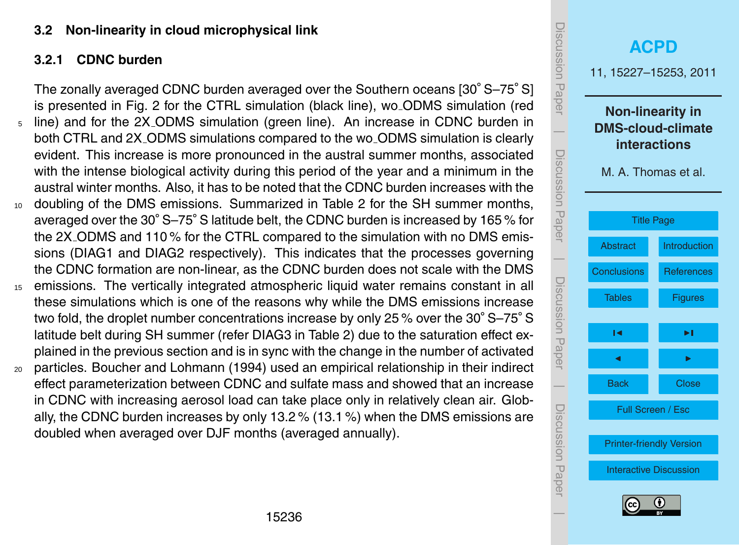#### <span id="page-9-0"></span>**3.2 Non-linearity in cloud microphysical link**

## **3.2.1 CDNC burden**

The zonally averaged CDNC burden averaged over the Southern oceans [30° S–75° S] is presented in Fig. [2](#page-24-0) for the CTRL simulation (black line), wo ODMS simulation (red line) and for the 2X\_ODMS simulation (green line). An increase in CDNC burden in  $\overline{\phantom{a}}$ both CTRL and 2X ODMS simulations compared to the wo ODMS simulation is clearly Discussion Paperevident. This increase is more pronounced in the austral summer months, associated Discussion Paper with the intense biological activity during this period of the year and a minimum in the austral winter months. Also, it has to be noted that the CDNC burden increases with the <sup>10</sup> doubling of the DMS emissions. Summarized in Table [2](#page-19-0) for the SH summer months, averaged over the 30◦ S–75◦ S latitude belt, the CDNC burden is increased by 165 % for the 2X ODMS and 110 % for the CTRL compared to the simulation with no DMS emissions (DIAG1 and DIAG2 respectively). This indicates that the processes governing  $\overline{\phantom{a}}$ the CDNC formation are non-linear, as the CDNC burden does not scale with the DMS Discussion PaperDiscussion Paper <sup>15</sup> emissions. The vertically integrated atmospheric liquid water remains constant in all these simulations which is one of the reasons why while the DMS emissions increase two fold, the droplet number concentrations increase by only 25 % over the 30° S–75° S latitude belt during SH summer (refer DIAG3 in Table [2\)](#page-19-0) due to the saturation effect explained in the previous section and is in sync with the change in the number of activated <sup>20</sup> particles. [Boucher and Lohmann](#page-14-0) [\(1994\)](#page-14-0) used an empirical relationship in their indirect  $\overline{\phantom{a}}$ effect parameterization between CDNC and sulfate mass and showed that an increase in CDNC with increasing aerosol load can take place only in relatively clean air. Globally, the CDNC burden increases by only 13.2 % (13.1 %) when the DMS emissions are doubled when averaged over DJF months (averaged annually).

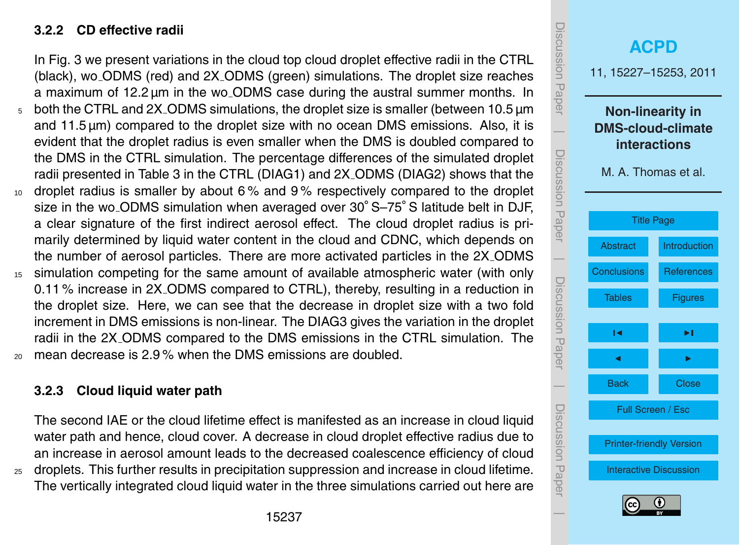#### **3.2.2 CD effective radii**

In Fig. [3](#page-25-0) we present variations in the cloud top cloud droplet effective radii in the CTRL (black), wo ODMS (red) and 2X ODMS (green) simulations. The droplet size reaches a maximum of 12.2 µm in the wo ODMS case during the austral summer months. In <sup>5</sup> both the CTRL and 2X ODMS simulations, the droplet size is smaller (between 10.5 µm and 11.5 µm) compared to the droplet size with no ocean DMS emissions. Also, it is evident that the droplet radius is even smaller when the DMS is doubled compared to the DMS in the CTRL simulation. The percentage differences of the simulated droplet radii presented in Table [3](#page-20-0) in the CTRL (DIAG1) and 2X ODMS (DIAG2) shows that the 10 droplet radius is smaller by about 6% and 9% respectively compared to the droplet size in the wo\_ODMS simulation when averaged over 30° S-75° S latitude belt in DJF, a clear signature of the first indirect aerosol effect. The cloud droplet radius is primarily determined by liquid water content in the cloud and CDNC, which depends on the number of aerosol particles. There are more activated particles in the 2X ODMS

<sup>15</sup> simulation competing for the same amount of available atmospheric water (with only 0.11 % increase in 2X ODMS compared to CTRL), thereby, resulting in a reduction in the droplet size. Here, we can see that the decrease in droplet size with a two fold increment in DMS emissions is non-linear. The DIAG3 gives the variation in the droplet radii in the 2X ODMS compared to the DMS emissions in the CTRL simulation. The  $20$  mean decrease is 2.9 % when the DMS emissions are doubled.

**3.2.3 Cloud liquid water path**

The second IAE or the cloud lifetime effect is manifested as an increase in cloud liquid water path and hence, cloud cover. A decrease in cloud droplet effective radius due to an increase in aerosol amount leads to the decreased coalescence efficiency of cloud <sup>25</sup> droplets. This further results in precipitation suppression and increase in cloud lifetime. The vertically integrated cloud liquid water in the three simulations carried out here are

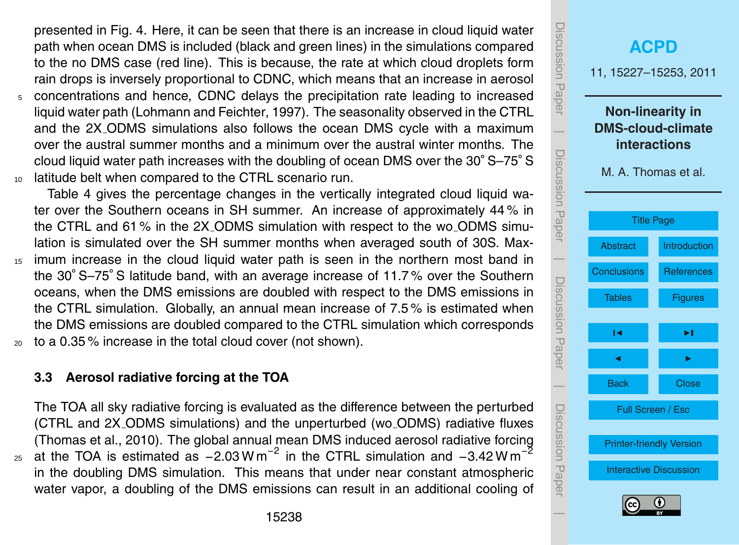<span id="page-11-0"></span>presented in Fig. [4.](#page-26-0) Here, it can be seen that there is an increase in cloud liquid water path when ocean DMS is included (black and green lines) in the simulations compared to the no DMS case (red line). This is because, the rate at which cloud droplets form rain drops is inversely proportional to CDNC, which means that an increase in aerosol

<sup>5</sup> concentrations and hence, CDNC delays the precipitation rate leading to increased liquid water path [\(Lohmann and Feichter,](#page-15-0) [1997\)](#page-15-0). The seasonality observed in the CTRL and the 2X ODMS simulations also follows the ocean DMS cycle with a maximum over the austral summer months and a minimum over the austral winter months. The cloud liquid water path increases with the doubling of ocean DMS over the 30◦ S–75◦ S <sup>10</sup> latitude belt when compared to the CTRL scenario run.

Table [4](#page-21-0) gives the percentage changes in the vertically integrated cloud liquid water over the Southern oceans in SH summer. An increase of approximately 44 % in the CTRL and 61 % in the 2X ODMS simulation with respect to the wo ODMS simulation is simulated over the SH summer months when averaged south of 30S. Max-<sup>15</sup> imum increase in the cloud liquid water path is seen in the northern most band in the 30◦ S–75◦ S latitude band, with an average increase of 11.7 % over the Southern oceans, when the DMS emissions are doubled with respect to the DMS emissions in the CTRL simulation. Globally, an annual mean increase of 7.5 % is estimated when the DMS emissions are doubled compared to the CTRL simulation which corresponds <sup>20</sup> to a 0.35 % increase in the total cloud cover (not shown).

**3.3 Aerosol radiative forcing at the TOA**

The TOA all sky radiative forcing is evaluated as the difference between the perturbed (CTRL and 2X ODMS simulations) and the unperturbed (wo ODMS) radiative fluxes [\(Thomas et al.,](#page-16-0) [2010\)](#page-16-0). The global annual mean DMS induced aerosol radiative forcing at the TOA is estimated as  $-2.03$  W m<sup>-2</sup> in the CTRL simulation and  $-3.42$  W m<sup>-2</sup> 25 in the doubling DMS simulation. This means that under near constant atmospheric water vapor, a doubling of the DMS emissions can result in an additional cooling of

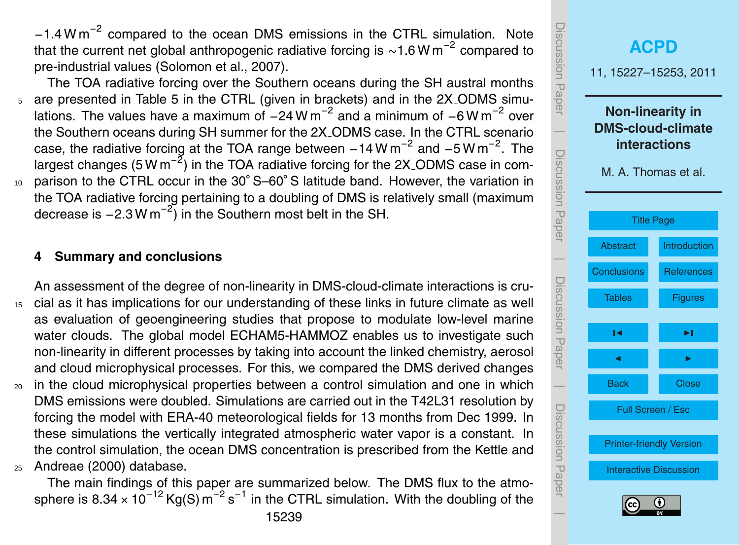<span id="page-12-0"></span>−1.4 W m−<sup>2</sup> compared to the ocean DMS emissions in the CTRL simulation. Note that the current net global anthropogenic radiative forcing is ~1.6 W m<sup>-2</sup> compared to pre-industrial values [\(Solomon et al.,](#page-16-0) [2007\)](#page-16-0).

The TOA radiative forcing over the Southern oceans during the SH austral months <sup>5</sup> are presented in Table [5](#page-22-0) in the CTRL (given in brackets) and in the 2X ODMS simulations. The values have a maximum of  $-24$  W m<sup>-2</sup> and a minimum of  $-6$  W m<sup>-2</sup> over the Southern oceans during SH summer for the 2X ODMS case. In the CTRL scenario case, the radiative forcing at the TOA range between  $-14$  W m<sup>-2</sup> and  $-5$  W m<sup>-2</sup>. The largest changes (5 W m<sup>-2</sup>) in the TOA radiative forcing for the 2X<sub>-</sub>ODMS case in com-10 parison to the CTRL occur in the 30° S–60° S latitude band. However, the variation in the TOA radiative forcing pertaining to a doubling of DMS is relatively small (maximum decrease is  $-2.3$  W m<sup>-2</sup>) in the Southern most belt in the SH.

#### **4 Summary and conclusions**

An assessment of the degree of non-linearity in DMS-cloud-climate interactions is cru-15 cial as it has implications for our understanding of these links in future climate as well as evaluation of geoengineering studies that propose to modulate low-level marine water clouds. The global model ECHAM5-HAMMOZ enables us to investigate such non-linearity in different processes by taking into account the linked chemistry, aerosol and cloud microphysical processes. For this, we compared the DMS derived changes

<sup>20</sup> in the cloud microphysical properties between a control simulation and one in which DMS emissions were doubled. Simulations are carried out in the T42L31 resolution by forcing the model with ERA-40 meteorological fields for 13 months from Dec 1999. In these simulations the vertically integrated atmospheric water vapor is a constant. In [t](#page-14-0)he control simulation, the ocean DMS concentration is prescribed from the [Kettle and](#page-14-0) <sup>25</sup> [Andreae](#page-14-0) [\(2000\)](#page-14-0) database.

The main findings of this paper are summarized below. The DMS flux to the atmosphere is 8.34 × 10<sup>-12</sup> Kg(S) m<sup>-2</sup> s<sup>-1</sup> in the CTRL simulation. With the doubling of the

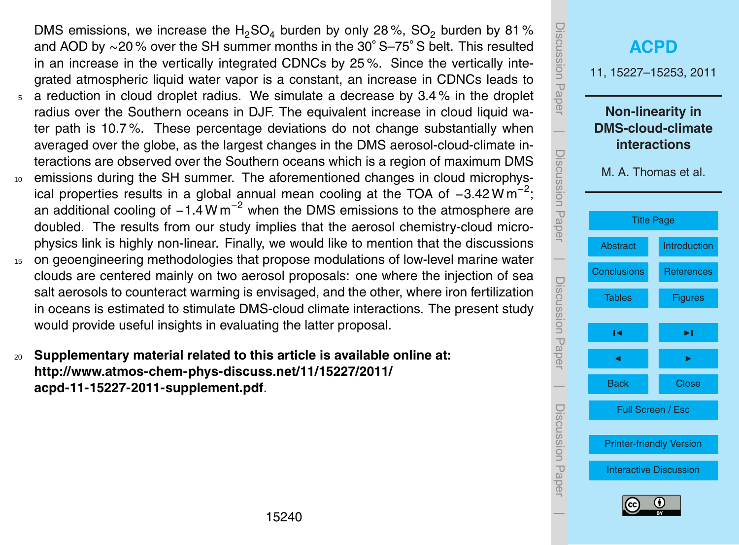DMS emissions, we increase the H<sub>2</sub>SO<sub>4</sub> burden by only 28%, SO<sub>2</sub> burden by 81% and AOD by ∼20 % over the SH summer months in the 30◦ S–75◦ S belt. This resulted in an increase in the vertically integrated CDNCs by 25 %. Since the vertically integrated atmospheric liquid water vapor is a constant, an increase in CDNCs leads to  $5$  a reduction in cloud droplet radius. We simulate a decrease by 3.4 % in the droplet

- radius over the Southern oceans in DJF. The equivalent increase in cloud liquid water path is 10.7 %. These percentage deviations do not change substantially when averaged over the globe, as the largest changes in the DMS aerosol-cloud-climate interactions are observed over the Southern oceans which is a region of maximum DMS
- <sup>10</sup> emissions during the SH summer. The aforementioned changes in cloud microphysical properties results in a global annual mean cooling at the TOA of  $-3.42 \text{ W m}^{-2}$ ; an additional cooling of  $-1.4 \text{ W m}^{-2}$  when the DMS emissions to the atmosphere are doubled. The results from our study implies that the aerosol chemistry-cloud microphysics link is highly non-linear. Finally, we would like to mention that the discussions
- <sup>15</sup> on geoengineering methodologies that propose modulations of low-level marine water clouds are centered mainly on two aerosol proposals: one where the injection of sea salt aerosols to counteract warming is envisaged, and the other, where iron fertilization in oceans is estimated to stimulate DMS-cloud climate interactions. The present study would provide useful insights in evaluating the latter proposal.
- <sup>20</sup> **Supplementary material related to this article is available online at: [http://www.atmos-chem-phys-discuss.net/11/15227/2011/](http://www.atmos-chem-phys-discuss.net/11/15227/2011/acpd-11-15227-2011-supplement.pdf) [acpd-11-15227-2011-supplement.pdf](http://www.atmos-chem-phys-discuss.net/11/15227/2011/acpd-11-15227-2011-supplement.pdf)**.

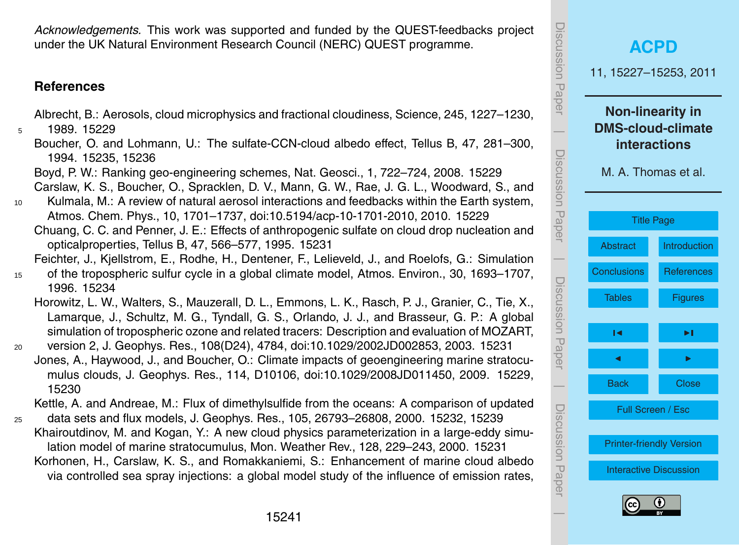<span id="page-14-0"></span>*Acknowledgements.* This work was supported and funded by the QUEST-feedbacks project under the UK Natural Environment Research Council (NERC) QUEST programme.

#### **References**

Albrecht, B.: Aerosols, cloud microphysics and fractional cloudiness, Science, 245, 1227–1230,

- 5 1989 [15229](#page-2-0)
	- Boucher, O. and Lohmann, U.: The sulfate-CCN-cloud albedo effect, Tellus B, 47, 281–300, 1994. [15235,](#page-8-0) [15236](#page-9-0)
	- Boyd, P. W.: Ranking geo-engineering schemes, Nat. Geosci., 1, 722–724, 2008. [15229](#page-2-0) Carslaw, K. S., Boucher, O., Spracklen, D. V., Mann, G. W., Rae, J. G. L., Woodward, S., and
- <sup>10</sup> Kulmala, M.: A review of natural aerosol interactions and feedbacks within the Earth system, Atmos. Chem. Phys., 10, 1701–1737, [doi:10.5194/acp-10-1701-2010,](http://dx.doi.org/10.5194/acp-10-1701-2010) 2010. [15229](#page-2-0)
	- Chuang, C. C. and Penner, J. E.: Effects of anthropogenic sulfate on cloud drop nucleation and opticalproperties, Tellus B, 47, 566–577, 1995. [15231](#page-4-0)

Feichter, J., Kjellstrom, E., Rodhe, H., Dentener, F., Lelieveld, J., and Roelofs, G.: Simulation

- <sup>15</sup> of the tropospheric sulfur cycle in a global climate model, Atmos. Environ., 30, 1693–1707, 1996. [15234](#page-7-0)
	- Horowitz, L. W., Walters, S., Mauzerall, D. L., Emmons, L. K., Rasch, P. J., Granier, C., Tie, X., Lamarque, J., Schultz, M. G., Tyndall, G. S., Orlando, J. J., and Brasseur, G. P.: A global simulation of tropospheric ozone and related tracers: Description and evaluation of MOZART,
- <sup>20</sup> version 2, J. Geophys. Res., 108(D24), 4784, doi:10.1029/2002JD002853, 2003. [15231](#page-4-0) Jones, A., Haywood, J., and Boucher, O.: Climate impacts of geoengineering marine stratocumulus clouds, J. Geophys. Res., 114, D10106, doi:10.1029/2008JD011450, 2009. [15229,](#page-2-0) [15230](#page-3-0)

Kettle, A. and Andreae, M.: Flux of dimethylsulfide from the oceans: A comparison of updated

<sup>25</sup> data sets and flux models, J. Geophys. Res., 105, 26793–26808, 2000. [15232,](#page-5-0) [15239](#page-12-0) Khairoutdinov, M. and Kogan, Y.: A new cloud physics parameterization in a large-eddy simulation model of marine stratocumulus, Mon. Weather Rev., 128, 229–243, 2000. [15231](#page-4-0) Korhonen, H., Carslaw, K. S., and Romakkaniemi, S.: Enhancement of marine cloud albedo via controlled sea spray injections: a global model study of the influence of emission rates,



 $\overline{\phantom{a}}$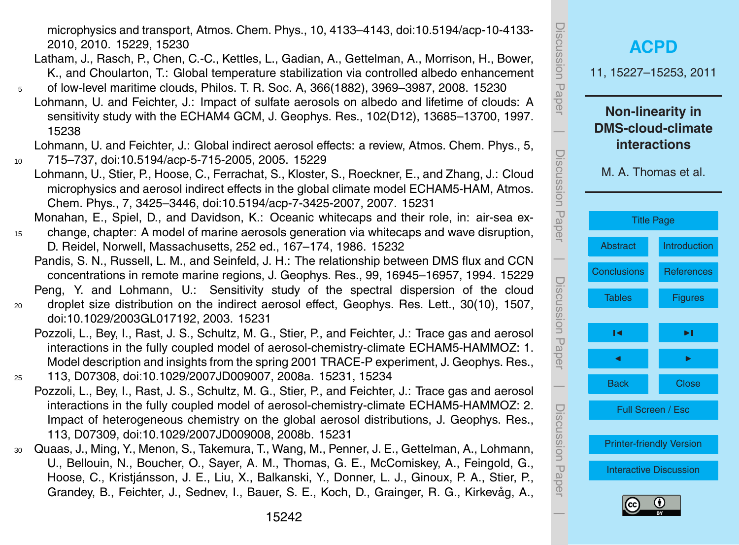<span id="page-15-0"></span>microphysics and transport, Atmos. Chem. Phys., 10, 4133–4143, [doi:10.5194/acp-10-4133-](http://dx.doi.org/10.5194/acp-10-4133-2010) [2010,](http://dx.doi.org/10.5194/acp-10-4133-2010) 2010. [15229,](#page-2-0) [15230](#page-3-0)

- Latham, J., Rasch, P., Chen, C.-C., Kettles, L., Gadian, A., Gettelman, A., Morrison, H., Bower, K., and Choularton, T.: Global temperature stabilization via controlled albedo enhancement
- <sup>5</sup> of low-level maritime clouds, Philos. T. R. Soc. A, 366(1882), 3969–3987, 2008. [15230](#page-3-0) Lohmann, U. and Feichter, J.: Impact of sulfate aerosols on albedo and lifetime of clouds: A sensitivity study with the ECHAM4 GCM, J. Geophys. Res., 102(D12), 13685–13700, 1997. [15238](#page-11-0)
- Lohmann, U. and Feichter, J.: Global indirect aerosol effects: a review, Atmos. Chem. Phys., 5, <sup>10</sup> 715–737, [doi:10.5194/acp-5-715-2005,](http://dx.doi.org/10.5194/acp-5-715-2005) 2005. [15229](#page-2-0)
	- Lohmann, U., Stier, P., Hoose, C., Ferrachat, S., Kloster, S., Roeckner, E., and Zhang, J.: Cloud microphysics and aerosol indirect effects in the global climate model ECHAM5-HAM, Atmos. Chem. Phys., 7, 3425–3446, [doi:10.5194/acp-7-3425-2007,](http://dx.doi.org/10.5194/acp-7-3425-2007) 2007. [15231](#page-4-0)

Monahan, E., Spiel, D., and Davidson, K.: Oceanic whitecaps and their role, in: air-sea ex-<sup>15</sup> change, chapter: A model of marine aerosols generation via whitecaps and wave disruption,

D. Reidel, Norwell, Massachusetts, 252 ed., 167–174, 1986. [15232](#page-5-0)

Pandis, S. N., Russell, L. M., and Seinfeld, J. H.: The relationship between DMS flux and CCN concentrations in remote marine regions, J. Geophys. Res., 99, 16945–16957, 1994. [15229](#page-2-0) Peng, Y. and Lohmann, U.: Sensitivity study of the spectral dispersion of the cloud

- <sup>20</sup> droplet size distribution on the indirect aerosol effect, Geophys. Res. Lett., 30(10), 1507, [doi:10.1029/2003GL017192,](http://dx.doi.org/10.1029/2003GL017192) 2003. [15231](#page-4-0)
	- Pozzoli, L., Bey, I., Rast, J. S., Schultz, M. G., Stier, P., and Feichter, J.: Trace gas and aerosol interactions in the fully coupled model of aerosol-chemistry-climate ECHAM5-HAMMOZ: 1. Model description and insights from the spring 2001 TRACE-P experiment, J. Geophys. Res.,
- <sup>25</sup> 113, D07308, doi:10.1029/2007JD009007, 2008a. [15231,](#page-4-0) [15234](#page-7-0)
	- Pozzoli, L., Bey, I., Rast, J. S., Schultz, M. G., Stier, P., and Feichter, J.: Trace gas and aerosol interactions in the fully coupled model of aerosol-chemistry-climate ECHAM5-HAMMOZ: 2. Impact of heterogeneous chemistry on the global aerosol distributions, J. Geophys. Res., 113, D07309, doi:10.1029/2007JD009008, 2008b. [15231](#page-4-0)
- <sup>30</sup> Quaas, J., Ming, Y., Menon, S., Takemura, T., Wang, M., Penner, J. E., Gettelman, A., Lohmann, U., Bellouin, N., Boucher, O., Sayer, A. M., Thomas, G. E., McComiskey, A., Feingold, G., Hoose, C., Kristjánsson, J. E., Liu, X., Balkanski, Y., Donner, L. J., Ginoux, P. A., Stier, P., Grandey, B., Feichter, J., Sednev, I., Bauer, S. E., Koch, D., Grainger, R. G., Kirkevåg, A.,

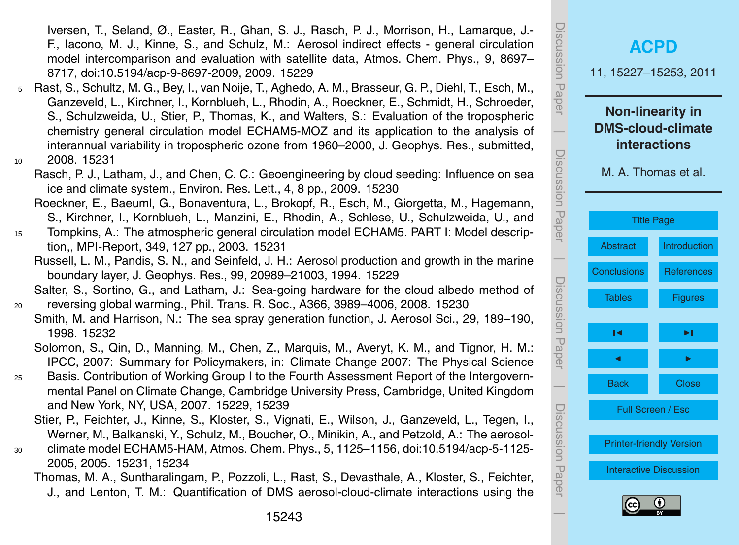<span id="page-16-0"></span>Iversen, T., Seland, Ø., Easter, R., Ghan, S. J., Rasch, P. J., Morrison, H., Lamarque, J.- F., Iacono, M. J., Kinne, S., and Schulz, M.: Aerosol indirect effects - general circulation model intercomparison and evaluation with satellite data, Atmos. Chem. Phys., 9, 8697– 8717, [doi:10.5194/acp-9-8697-2009,](http://dx.doi.org/10.5194/acp-9-8697-2009) 2009. [15229](#page-2-0)

- <sup>5</sup> Rast, S., Schultz, M. G., Bey, I., van Noije, T., Aghedo, A. M., Brasseur, G. P., Diehl, T., Esch, M., Ganzeveld, L., Kirchner, I., Kornblueh, L., Rhodin, A., Roeckner, E., Schmidt, H., Schroeder, S., Schulzweida, U., Stier, P., Thomas, K., and Walters, S.: Evaluation of the tropospheric chemistry general circulation model ECHAM5-MOZ and its application to the analysis of interannual variability in tropospheric ozone from 1960–2000, J. Geophys. Res., submitted, <sup>10</sup> 2008. [15231](#page-4-0)
- - Rasch, P. J., Latham, J., and Chen, C. C.: Geoengineering by cloud seeding: Influence on sea ice and climate system., Environ. Res. Lett., 4, 8 pp., 2009. [15230](#page-3-0)
	- Roeckner, E., Baeuml, G., Bonaventura, L., Brokopf, R., Esch, M., Giorgetta, M., Hagemann, S., Kirchner, I., Kornblueh, L., Manzini, E., Rhodin, A., Schlese, U., Schulzweida, U., and
- <sup>15</sup> Tompkins, A.: The atmospheric general circulation model ECHAM5. PART I: Model description,, MPI-Report, 349, 127 pp., 2003. [15231](#page-4-0)
	- Russell, L. M., Pandis, S. N., and Seinfeld, J. H.: Aerosol production and growth in the marine boundary layer, J. Geophys. Res., 99, 20989–21003, 1994. [15229](#page-2-0)

Salter, S., Sortino, G., and Latham, J.: Sea-going hardware for the cloud albedo method of <sup>20</sup> reversing global warming., Phil. Trans. R. Soc., A366, 3989–4006, 2008. [15230](#page-3-0)

- Smith, M. and Harrison, N.: The sea spray generation function, J. Aerosol Sci., 29, 189–190, 1998. [15232](#page-5-0)
- Solomon, S., Qin, D., Manning, M., Chen, Z., Marquis, M., Averyt, K. M., and Tignor, H. M.: IPCC, 2007: Summary for Policymakers, in: Climate Change 2007: The Physical Science
- <sup>25</sup> Basis. Contribution of Working Group I to the Fourth Assessment Report of the Intergovernmental Panel on Climate Change, Cambridge University Press, Cambridge, United Kingdom and New York, NY, USA, 2007. [15229,](#page-2-0) [15239](#page-12-0)
	- Stier, P., Feichter, J., Kinne, S., Kloster, S., Vignati, E., Wilson, J., Ganzeveld, L., Tegen, I., Werner, M., Balkanski, Y., Schulz, M., Boucher, O., Minikin, A., and Petzold, A.: The aerosol-
- <sup>30</sup> climate model ECHAM5-HAM, Atmos. Chem. Phys., 5, 1125–1156, [doi:10.5194/acp-5-1125-](http://dx.doi.org/10.5194/acp-5-1125-2005) [2005,](http://dx.doi.org/10.5194/acp-5-1125-2005) 2005. [15231,](#page-4-0) [15234](#page-7-0)

Thomas, M. A., Suntharalingam, P., Pozzoli, L., Rast, S., Devasthale, A., Kloster, S., Feichter, J., and Lenton, T. M.: Quantification of DMS aerosol-cloud-climate interactions using the





 $\overline{\phantom{a}}$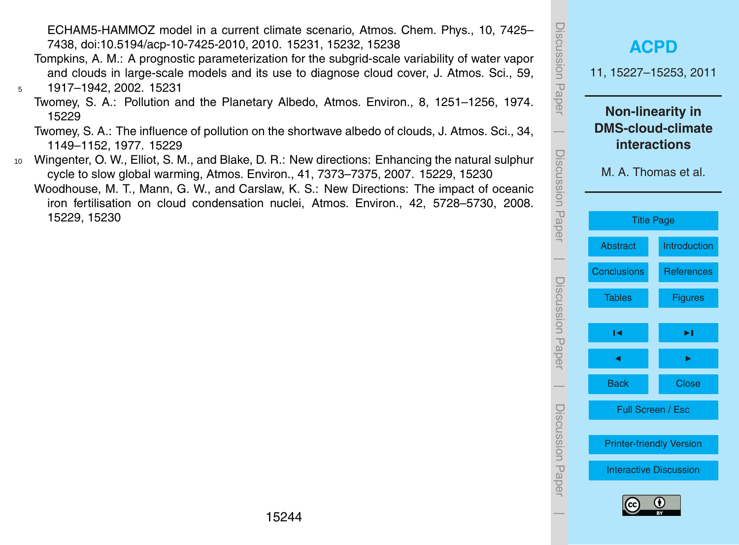<span id="page-17-0"></span>ECHAM5-HAMMOZ model in a current climate scenario, Atmos. Chem. Phys., 10, 7425– 7438, [doi:10.5194/acp-10-7425-2010,](http://dx.doi.org/10.5194/acp-10-7425-2010) 2010. [15231,](#page-4-0) [15232,](#page-5-0) [15238](#page-11-0)

- Tompkins, A. M.: A prognostic parameterization for the subgrid-scale variability of water vapor and clouds in large-scale models and its use to diagnose cloud cover, J. Atmos. Sci., 59, <sup>5</sup> 1917–1942, 2002. [15231](#page-4-0)
	- Twomey, S. A.: Pollution and the Planetary Albedo, Atmos. Environ., 8, 1251–1256, 1974. [15229](#page-2-0)
	- Twomey, S. A.: The influence of pollution on the shortwave albedo of clouds, J. Atmos. Sci., 34, 1149–1152, 1977. [15229](#page-2-0)
- <sup>10</sup> Wingenter, O. W., Elliot, S. M., and Blake, D. R.: New directions: Enhancing the natural sulphur cycle to slow global warming, Atmos. Environ., 41, 7373–7375, 2007. [15229,](#page-2-0) [15230](#page-3-0)
	- Woodhouse, M. T., Mann, G. W., and Carslaw, K. S.: New Directions: The impact of oceanic iron fertilisation on cloud condensation nuclei, Atmos. Environ., 42, 5728–5730, 2008. [15229,](#page-2-0) [15230](#page-3-0)

| <b>ISCUSSION PAPPE</b> | <b>ACPD</b><br>11, 15227-15253, 2011                                                       |                   |  |  |  |  |  |  |  |  |
|------------------------|--------------------------------------------------------------------------------------------|-------------------|--|--|--|--|--|--|--|--|
| Discussion Paper       | <b>Non-linearity in</b><br><b>DMS-cloud-climate</b><br>interactions<br>M. A. Thomas et al. |                   |  |  |  |  |  |  |  |  |
|                        | <b>Title Page</b>                                                                          |                   |  |  |  |  |  |  |  |  |
|                        | <b>Abstract</b>                                                                            | Introduction      |  |  |  |  |  |  |  |  |
|                        | <b>Conclusions</b>                                                                         | <b>References</b> |  |  |  |  |  |  |  |  |
| Discussion Paper       | <b>Tables</b>                                                                              | <b>Figures</b>    |  |  |  |  |  |  |  |  |
|                        | м                                                                                          | ▶∣                |  |  |  |  |  |  |  |  |
|                        |                                                                                            |                   |  |  |  |  |  |  |  |  |
|                        | <b>Back</b>                                                                                | <b>Close</b>      |  |  |  |  |  |  |  |  |
| Discussion Haper       | Full Screen / Esc                                                                          |                   |  |  |  |  |  |  |  |  |
|                        | <b>Printer-friendly Version</b>                                                            |                   |  |  |  |  |  |  |  |  |
|                        | <b>Interactive Discussion</b>                                                              |                   |  |  |  |  |  |  |  |  |
|                        | (cc                                                                                        | G)                |  |  |  |  |  |  |  |  |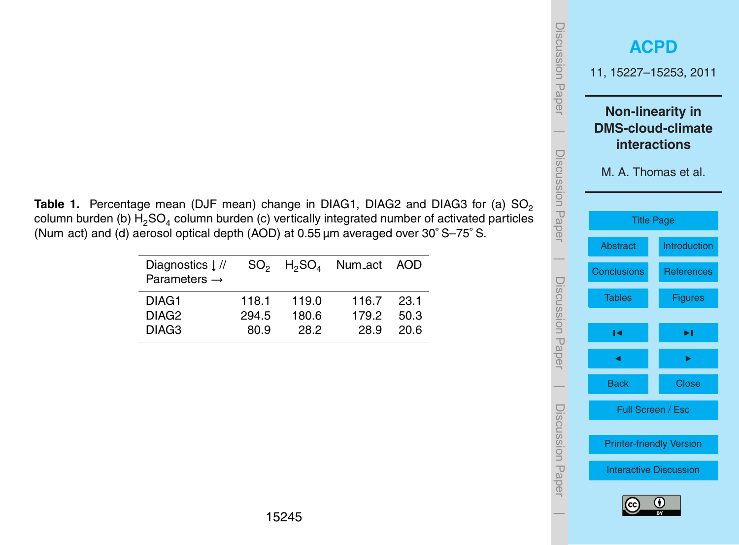<span id="page-18-0"></span>Table 1. Percentage mean (DJF mean) change in DIAG1, DIAG2 and DIAG3 for (a) SO<sub>2</sub> column burden (b)  $\mathsf{H}_2\mathsf{SO}_4$  column burden (c) vertically integrated number of activated particles (Num act) and (d) aerosol optical depth (AOD) at 0.55 µm averaged over 30◦ S–75◦ S.

| Diagnostics $\downarrow$ //<br>Parameters $\rightarrow$ |                |                | $SO_2$ H <sub>2</sub> SO <sub>4</sub> Num_act AOD |               |
|---------------------------------------------------------|----------------|----------------|---------------------------------------------------|---------------|
| DIAG1<br>DIAG <sub>2</sub>                              | 118.1<br>294.5 | 119.0<br>180.6 | 116.7<br>179.2                                    | -23.1<br>50.3 |
| DIAG <sub>3</sub>                                       | 80.9           | 28.2           | 28.9                                              | 20 R          |

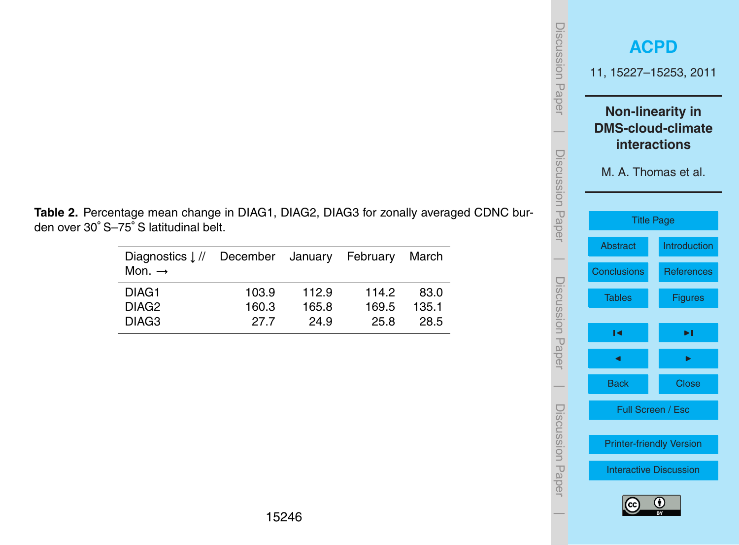| Discussion Paper |                              | <b>ACPD</b><br>11, 15227-15253, 2011                                                              |  |  |  |  |  |  |  |
|------------------|------------------------------|---------------------------------------------------------------------------------------------------|--|--|--|--|--|--|--|
|                  |                              | <b>Non-linearity in</b><br><b>DMS-cloud-climate</b><br><b>interactions</b><br>M. A. Thomas et al. |  |  |  |  |  |  |  |
| Discussion Paper | Abstract                     | <b>Title Page</b><br>Introduction                                                                 |  |  |  |  |  |  |  |
|                  | <b>Conclusions</b><br>Tables | <b>References</b><br><b>Figures</b>                                                               |  |  |  |  |  |  |  |
| Discussion Paper | м                            | ▸∣                                                                                                |  |  |  |  |  |  |  |
|                  | <b>Back</b>                  | <b>Close</b>                                                                                      |  |  |  |  |  |  |  |
| Discussion Paper |                              | Full Screen / Esc<br><b>Printer-friendly Version</b>                                              |  |  |  |  |  |  |  |
|                  | (cc                          | <b>Interactive Discussion</b><br>(† )                                                             |  |  |  |  |  |  |  |

<span id="page-19-0"></span>**Table 2.** Percentage mean change in DIAG1, DIAG2, DIAG3 for zonally averaged CDNC burden over 30◦ S–75◦ S latitudinal belt.

| Diagnostics $\downarrow$ //<br>Mon. $\rightarrow$ | December January February |       |       | March |
|---------------------------------------------------|---------------------------|-------|-------|-------|
| DIAG1                                             | 103.9                     | 112.9 | 1142  | 83.0  |
| DIAG <sub>2</sub>                                 | 160.3                     | 165.8 | 169.5 | 135.1 |
| DIAG <sub>3</sub>                                 | 27.7                      | 24.9  | 25.8  | 28.5  |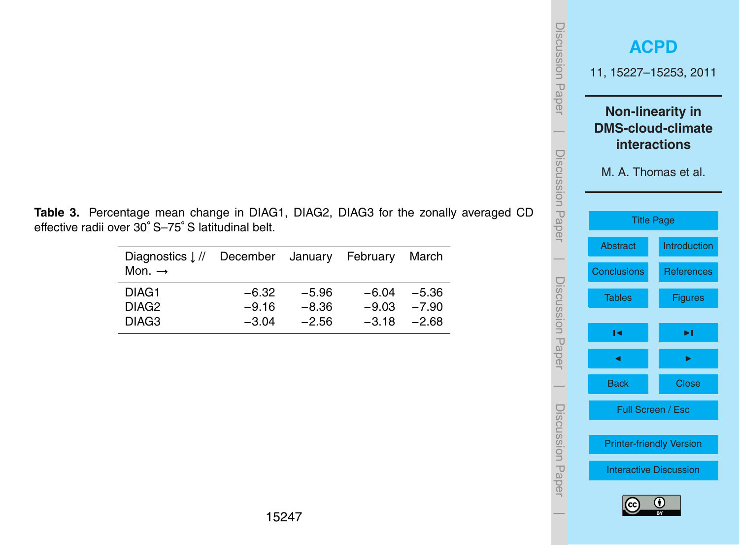| <b>ISCUSSION Paper</b> |                    | <b>ACPD</b><br>11, 15227-15253, 2011                                                       |  |  |  |  |  |  |  |  |
|------------------------|--------------------|--------------------------------------------------------------------------------------------|--|--|--|--|--|--|--|--|
| Discussion Paper       |                    | <b>Non-linearity in</b><br><b>DMS-cloud-climate</b><br>interactions<br>M. A. Thomas et al. |  |  |  |  |  |  |  |  |
|                        |                    | <b>Title Page</b>                                                                          |  |  |  |  |  |  |  |  |
|                        | <b>Abstract</b>    | Introduction                                                                               |  |  |  |  |  |  |  |  |
|                        | <b>Conclusions</b> | <b>References</b>                                                                          |  |  |  |  |  |  |  |  |
| Discussion Paper       | <b>Tables</b>      | <b>Figures</b>                                                                             |  |  |  |  |  |  |  |  |
|                        | м                  | ▸∣                                                                                         |  |  |  |  |  |  |  |  |
|                        |                    |                                                                                            |  |  |  |  |  |  |  |  |
|                        | <b>Back</b>        | <b>Close</b>                                                                               |  |  |  |  |  |  |  |  |
| Discussion Paper       |                    | Full Screen / Esc                                                                          |  |  |  |  |  |  |  |  |
|                        |                    | <b>Printer-friendly Version</b>                                                            |  |  |  |  |  |  |  |  |
|                        |                    | <b>Interactive Discussion</b>                                                              |  |  |  |  |  |  |  |  |
|                        | (cc                | G)                                                                                         |  |  |  |  |  |  |  |  |

<span id="page-20-0"></span>**Table 3.** Percentage mean change in DIAG1, DIAG2, DIAG3 for the zonally averaged CD effective radii over 30◦ S–75◦ S latitudinal belt.

| Diagnostics $\lfloor$ // December January February<br>Mon. $\rightarrow$ |         |         | March          |
|--------------------------------------------------------------------------|---------|---------|----------------|
| DIAG1                                                                    | $-6.32$ | -5.96   | $-6.04 -5.36$  |
| DIAG <sub>2</sub>                                                        | $-9.16$ | $-8.36$ | $-9.03 -7.90$  |
| DIAG <sub>3</sub>                                                        | $-3.04$ | $-2.56$ | $-3.18 - 2.68$ |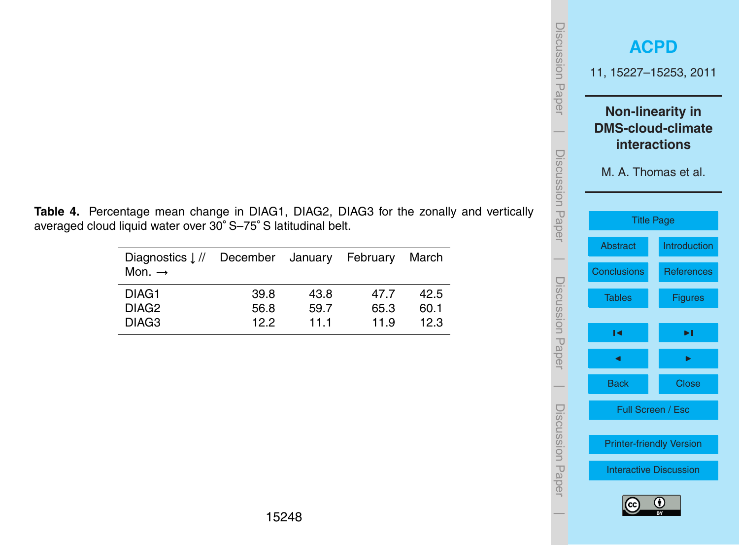| Jiscussion<br>Paper | <b>ACPD</b><br>11, 15227-15253, 2011                                                              |                                     |  |  |  |  |  |  |  |
|---------------------|---------------------------------------------------------------------------------------------------|-------------------------------------|--|--|--|--|--|--|--|
|                     | <b>Non-linearity in</b><br><b>DMS-cloud-climate</b><br><b>interactions</b><br>M. A. Thomas et al. |                                     |  |  |  |  |  |  |  |
| Discussion Paper    | <b>Title Page</b><br>Abstract                                                                     | Introduction                        |  |  |  |  |  |  |  |
|                     | <b>Conclusions</b><br>Tables                                                                      | <b>References</b><br><b>Figures</b> |  |  |  |  |  |  |  |
| Discussion Papel    | ∣◀                                                                                                | ▶∣                                  |  |  |  |  |  |  |  |
|                     | <b>Back</b><br>Full Screen / Esc                                                                  | <b>Close</b>                        |  |  |  |  |  |  |  |
| Discussion Papel    | <b>Printer-friendly Version</b><br><b>Interactive Discussion</b>                                  |                                     |  |  |  |  |  |  |  |
|                     | (cc                                                                                               | G)                                  |  |  |  |  |  |  |  |

<span id="page-21-0"></span>**Table 4.** Percentage mean change in DIAG1, DIAG2, DIAG3 for the zonally and vertically averaged cloud liquid water over 30◦ S–75◦ S latitudinal belt.

| Diagnostics $\frac{1}{k}$<br>Mon. $\rightarrow$ | December January February |      |      | March |
|-------------------------------------------------|---------------------------|------|------|-------|
| DIAG <sub>1</sub>                               | 39.8                      | 43.8 | 47 7 | 42.5  |
| DIAG <sub>2</sub>                               | 56.8                      | 59.7 | 65.3 | 60.1  |
| DIAG <sub>3</sub>                               | 122                       | 111  | 11.9 | 12.3  |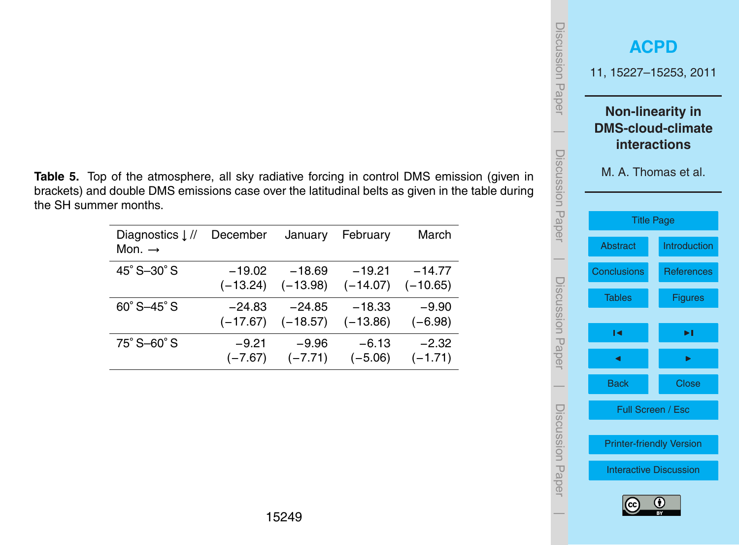<span id="page-22-0"></span>

|                       | <b>Table 5.</b> Top of the atmosphere, all sky radiative forcing in control DMS emission (given in |  |  |  |  |
|-----------------------|----------------------------------------------------------------------------------------------------|--|--|--|--|
|                       | brackets) and double DMS emissions case over the latitudinal belts as given in the table during    |  |  |  |  |
| the SH summer months. |                                                                                                    |  |  |  |  |

| Diagnostics $\downarrow$ //<br>Mon. $\rightarrow$ | December   | January    | February   | March      |
|---------------------------------------------------|------------|------------|------------|------------|
| 45° S-30° S                                       | $-19.02$   | $-18.69$   | $-19.21$   | $-14.77$   |
|                                                   | $(-13.24)$ | $(-13.98)$ | $(-14.07)$ | $(-10.65)$ |
| $60^{\circ}$ S-45 $^{\circ}$ S                    | -24.83     | $-24.85$   | $-18.33$   | $-9.90$    |
|                                                   | $(-17.67)$ | $(-18.57)$ | $(-13.86)$ | $(-6.98)$  |
| 75° S-60° S                                       | $-9.21$    | $-9.96$    | $-6.13$    | $-2.32$    |
|                                                   | $(-7.67)$  | $(-7.71)$  | $(-5.06)$  | $(-1.71)$  |

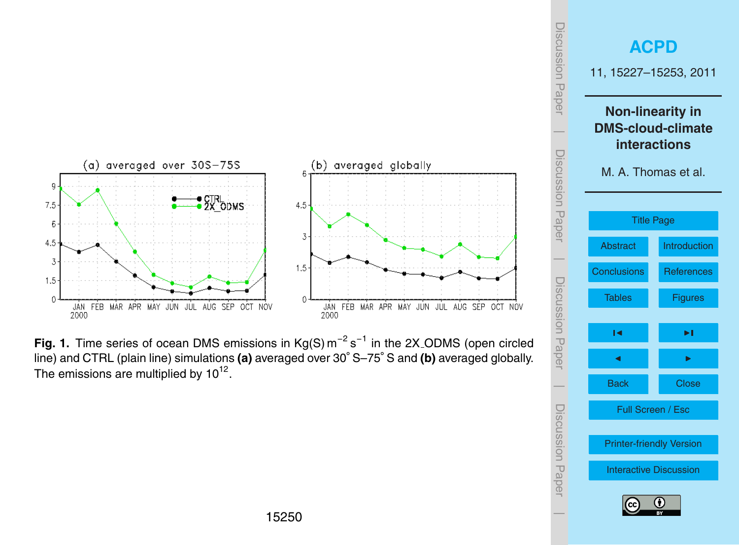



<span id="page-23-0"></span>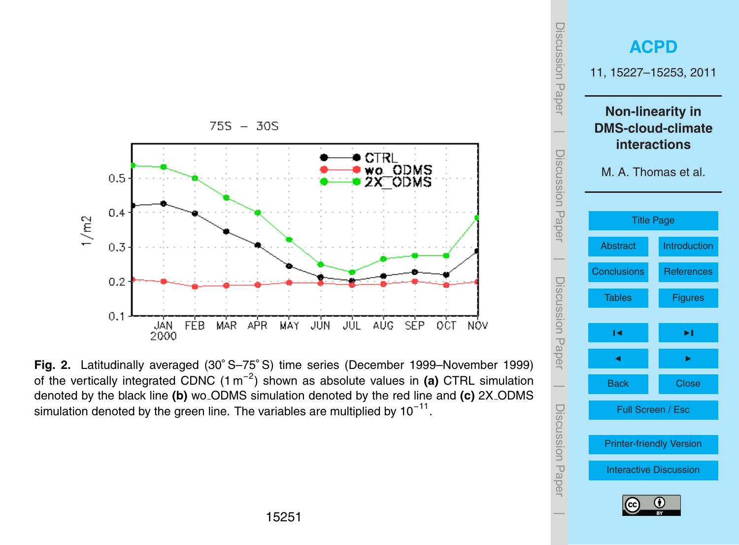

simulation denoted by the green line. The variables are multiplied by 10<sup>−11</sup>. **Fig. 2.** Latitudinally averaged (30◦ S–75◦ S) time series (December 1999–November 1999) of the vertically integrated CDNC (1 m<sup>−</sup><sup>2</sup> ) shown as absolute values in **(a)** CTRL simulation denoted by the black line **(b)** wo ODMS simulation denoted by the red line and **(c)** 2X ODMS

<span id="page-24-0"></span>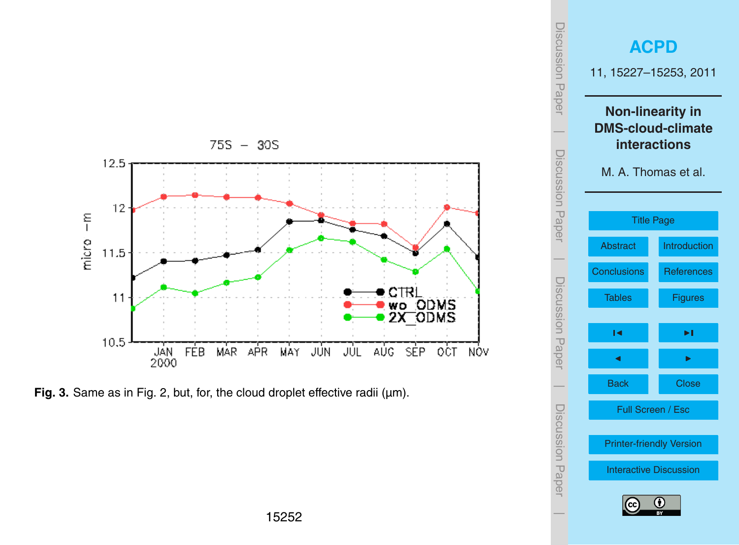<span id="page-25-0"></span>

**Fig. 3.** Same as in Fig. [2,](#page-24-0) but, for, the cloud droplet effective radii (µm).